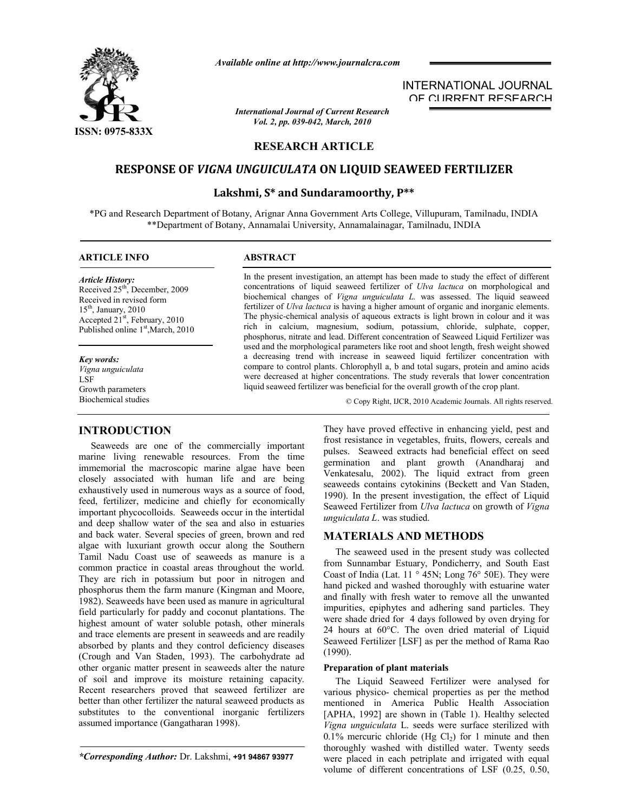

*Available online at http://www.journalcra.com*

*International Journal of Current Research Vol. 2, pp. 039-042, March, 2010*

# **RESEARCH ARTICLE**

# **RESPONSE OF** *VIGNA UNGUICULATA* **ON LIQUID SEAWEED FERTILIZER**

## **Lakshmi, S\* and Sundaramoorthy, P\*\***

\*PG and Research Department of Botany, Arignar Anna Government Arts College, Villupuram, Tamilnadu, INDIA \*\*Department of Botany, Annamalai University, Annamalainagar, Tamilnadu, INDIA

## **ARTICLE INFO ABSTRACT**

*Article History:* Received  $25<sup>th</sup>$ , December, 2009 Received in revised form 15th, January, 2010 Accepted 21<sup>st</sup>, February, 2010 Published online 1<sup>st</sup>,March, 2010

*Key words:* *Vigna unguiculata* LSF Growth parameters

## **INTRODUCTION**

 Seaweeds are one of the commercially important marine living renewable resources. From the time immemorial the macroscopic marine algae have been closely associated with human life and are being exhaustively used in numerous ways as a source of food, feed, fertilizer, medicine and chiefly for economically important phycocolloids. Seaweeds occur in the intertidal and deep shallow water of the sea and also in estuaries and back water. Several species of green, brown and red algae with luxuriant growth occur along the Southern Tamil Nadu Coast use of seaweeds as manure is a common practice in coastal areas throughout the world. They are rich in potassium but poor in nitrogen and phosphorus them the farm manure (Kingman and Moore, 1982). Seaweeds have been used as manure in agricultural field particularly for paddy and coconut plantations. The highest amount of water soluble potash, other minerals and trace elements are present in seaweeds and are readily absorbed by plants and they control deficiency diseases (Crough and Van Staden, 1993). The carbohydrate ad other organic matter present in seaweeds alter the nature of soil and improve its moisture retaining capacity. Recent researchers proved that seaweed fertilizer are better than other fertilizer the natural seaweed products as substitutes to the conventional inorganic fertilizers assumed importance (Gangatharan 1998).

*\*Corresponding Author:* Dr. Lakshmi, **+91 94867 93977**

In the present investigation, an attempt has been made to study the effect of different concentrations of liquid seaweed fertilizer of *Ulva lactuca* on morphological and biochemical changes of *Vigna unguiculata L.* was assessed. The liquid seaweed fertilizer of *Ulva lactuca* is having a higher amount of organic and inorganic elements. The physic-chemical analysis of aqueous extracts is light brown in colour and it was rich in calcium, magnesium, sodium, potassium, chloride, sulphate, copper, phosphorus, nitrate and lead. Different concentration of Seaweed Liquid Fertilizer was used and the morphological parameters like root and shoot length, fresh weight showed a decreasing trend with increase in seaweed liquid fertilizer concentration with compare to control plants. Chlorophyll a, b and total sugars, protein and amino acids were decreased at higher concentrations. The study reverals that lower concentration liquid seaweed fertilizer was beneficial for the overall growth of the crop plant.

Biochemical studies © Copy Right, IJCR, 2010 Academic Journals. All rights reserved.

INTERNATIONAL JOURNAL OF CURRENT RESEARCH

They have proved effective in enhancing yield, pest and frost resistance in vegetables, fruits, flowers, cereals and pulses. Seaweed extracts had beneficial effect on seed germination and plant growth (Anandharaj and Venkatesalu, 2002). The liquid extract from green seaweeds contains cytokinins (Beckett and Van Staden, 1990). In the present investigation, the effect of Liquid Seaweed Fertilizer from *Ulva lactuca* on growth of *Vigna unguiculata L*. was studied.

## **MATERIALS AND METHODS**

 The seaweed used in the present study was collected from Sunnambar Estuary, Pondicherry, and South East Coast of India (Lat. 11 ° 45N; Long 76° 50E). They were hand picked and washed thoroughly with estuarine water and finally with fresh water to remove all the unwanted impurities, epiphytes and adhering sand particles. They were shade dried for 4 days followed by oven drying for 24 hours at 60°C. The oven dried material of Liquid Seaweed Fertilizer [LSF] as per the method of Rama Rao (1990).

## **Preparation of plant materials**

 The Liquid Seaweed Fertilizer were analysed for various physico- chemical properties as per the method mentioned in America Public Health Association [APHA, 1992] are shown in (Table 1). Healthy selected *Vigna unguiculata* L. seeds were surface sterilized with 0.1% mercuric chloride (Hg Cl<sub>2</sub>) for 1 minute and then thoroughly washed with distilled water. Twenty seeds were placed in each petriplate and irrigated with equal volume of different concentrations of LSF (0.25, 0.50,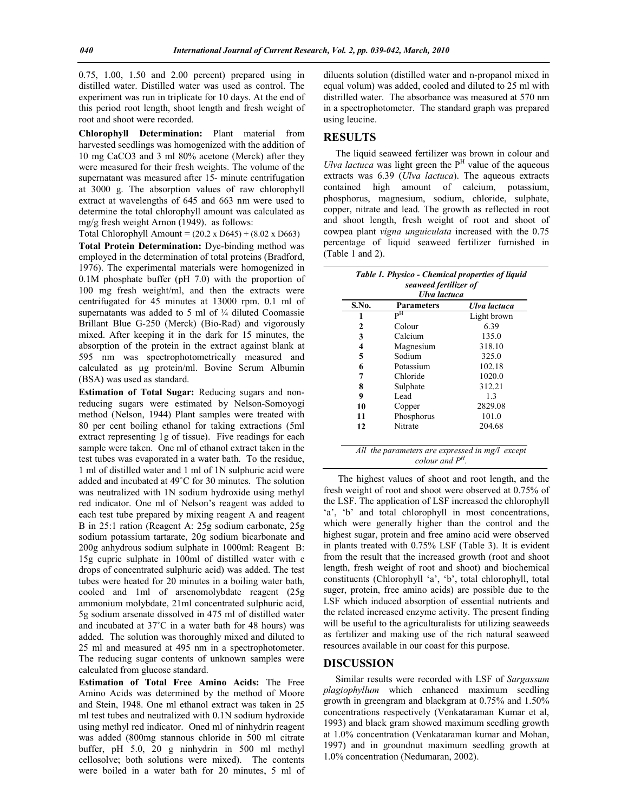0.75, 1.00, 1.50 and 2.00 percent) prepared using in distilled water. Distilled water was used as control. The experiment was run in triplicate for 10 days. At the end of this period root length, shoot length and fresh weight of root and shoot were recorded.

**Chlorophyll Determination:** Plant material from harvested seedlings was homogenized with the addition of 10 mg CaCO3 and 3 ml 80% acetone (Merck) after they were measured for their fresh weights. The volume of the supernatant was measured after 15- minute centrifugation at 3000 g. The absorption values of raw chlorophyll extract at wavelengths of 645 and 663 nm were used to determine the total chlorophyll amount was calculated as mg/g fresh weight Arnon (1949). as follows:

Total Chlorophyll Amount = (20.2 x D645) + (8.02 x D663)

**Total Protein Determination:** Dye-binding method was employed in the determination of total proteins (Bradford, 1976). The experimental materials were homogenized in 0.1M phosphate buffer (pH 7.0) with the proportion of 100 mg fresh weight/ml, and then the extracts were centrifugated for 45 minutes at 13000 rpm. 0.1 ml of supernatants was added to 5 ml of  $\frac{1}{4}$  diluted Coomassie Brillant Blue G-250 (Merck) (Bio-Rad) and vigorously mixed. After keeping it in the dark for 15 minutes, the absorption of the protein in the extract against blank at 595 nm was spectrophotometrically measured and calculated as μg protein/ml. Bovine Serum Albumin (BSA) was used as standard.

**Estimation of Total Sugar:** Reducing sugars and nonreducing sugars were estimated by Nelson-Somoyogi method (Nelson, 1944) Plant samples were treated with 80 per cent boiling ethanol for taking extractions (5ml extract representing 1g of tissue). Five readings for each sample were taken. One ml of ethanol extract taken in the test tubes was evaporated in a water bath. To the residue, 1 ml of distilled water and 1 ml of 1N sulphuric acid were added and incubated at 49˚C for 30 minutes. The solution was neutralized with 1N sodium hydroxide using methyl red indicator. One ml of Nelson's reagent was added to each test tube prepared by mixing reagent A and reagent B in 25:1 ration (Reagent A: 25g sodium carbonate, 25g sodium potassium tartarate, 20g sodium bicarbonate and 200g anhydrous sodium sulphate in 1000ml: Reagent B: 15g cupric sulphate in 100ml of distilled water with e drops of concentrated sulphuric acid) was added. The test tubes were heated for 20 minutes in a boiling water bath, cooled and 1ml of arsenomolybdate reagent (25g ammonium molybdate, 21ml concentrated sulphuric acid, 5g sodium arsenate dissolved in 475 ml of distilled water and incubated at 37˚C in a water bath for 48 hours) was added. The solution was thoroughly mixed and diluted to 25 ml and measured at 495 nm in a spectrophotometer. The reducing sugar contents of unknown samples were calculated from glucose standard.

**Estimation of Total Free Amino Acids:** The Free Amino Acids was determined by the method of Moore and Stein, 1948. One ml ethanol extract was taken in 25 ml test tubes and neutralized with 0.1N sodium hydroxide using methyl red indicator. Oned ml of ninhydrin reagent was added (800mg stannous chloride in 500 ml citrate buffer, pH 5.0, 20 g ninhydrin in 500 ml methyl cellosolve; both solutions were mixed). The contents were boiled in a water bath for 20 minutes, 5 ml of

diluents solution (distilled water and n-propanol mixed in equal volum) was added, cooled and diluted to 25 ml with distrilled water. The absorbance was measured at 570 nm in a spectrophotometer. The standard graph was prepared using leucine.

## **RESULTS**

 The liquid seaweed fertilizer was brown in colour and *Ulva lactuca* was light green the  $P<sup>H</sup>$  value of the aqueous extracts was 6.39 (*Ulva lactuca*). The aqueous extracts contained high amount of calcium, potassium, phosphorus, magnesium, sodium, chloride, sulphate, copper, nitrate and lead. The growth as reflected in root and shoot length, fresh weight of root and shoot of cowpea plant *vigna unguiculata* increased with the 0.75 percentage of liquid seaweed fertilizer furnished in (Table 1 and 2).

|                       | Table 1. Physico - Chemical properties of liquid |  |  |  |  |  |
|-----------------------|--------------------------------------------------|--|--|--|--|--|
| seaweed fertilizer of |                                                  |  |  |  |  |  |
|                       | <b>THEIR</b>                                     |  |  |  |  |  |

| S.No. | <b>Parameters</b>                                                  | Ulva lactuca |
|-------|--------------------------------------------------------------------|--------------|
| 1     | $\mathbf{p}^{\mathrm{H}}$                                          | Light brown  |
| 2     | Colour                                                             | 6.39         |
| 3     | Calcium                                                            | 135.0        |
| 4     | Magnesium                                                          | 318.10       |
| 5     | Sodium                                                             | 325.0        |
| 6     | Potassium                                                          | 102.18       |
| 7     | Chloride                                                           | 1020.0       |
| 8     | Sulphate                                                           | 312.21       |
| 9     | Lead                                                               | 1.3          |
| 10    | Copper                                                             | 2829.08      |
| 11    | Phosphorus                                                         | 101.0        |
| 12    | Nitrate                                                            | 204.68       |
|       | All the parameters are expressed in mg/l except<br>colour and $PH$ |              |

 The highest values of shoot and root length, and the fresh weight of root and shoot were observed at 0.75% of the LSF. The application of LSF increased the chlorophyll 'a', 'b' and total chlorophyll in most concentrations, which were generally higher than the control and the highest sugar, protein and free amino acid were observed in plants treated with 0.75% LSF (Table 3). It is evident from the result that the increased growth (root and shoot length, fresh weight of root and shoot) and biochemical constituents (Chlorophyll 'a', 'b', total chlorophyll, total suger, protein, free amino acids) are possible due to the LSF which induced absorption of essential nutrients and the related increased enzyme activity. The present finding will be useful to the agriculturalists for utilizing seaweeds as fertilizer and making use of the rich natural seaweed resources available in our coast for this purpose.

#### **DISCUSSION**

 Similar results were recorded with LSF of *Sargassum plagiophyllum* which enhanced maximum seedling growth in greengram and blackgram at 0.75% and 1.50% concentrations respectively (Venkataraman Kumar et al, 1993) and black gram showed maximum seedling growth at 1.0% concentration (Venkataraman kumar and Mohan, 1997) and in groundnut maximum seedling growth at 1.0% concentration (Nedumaran, 2002).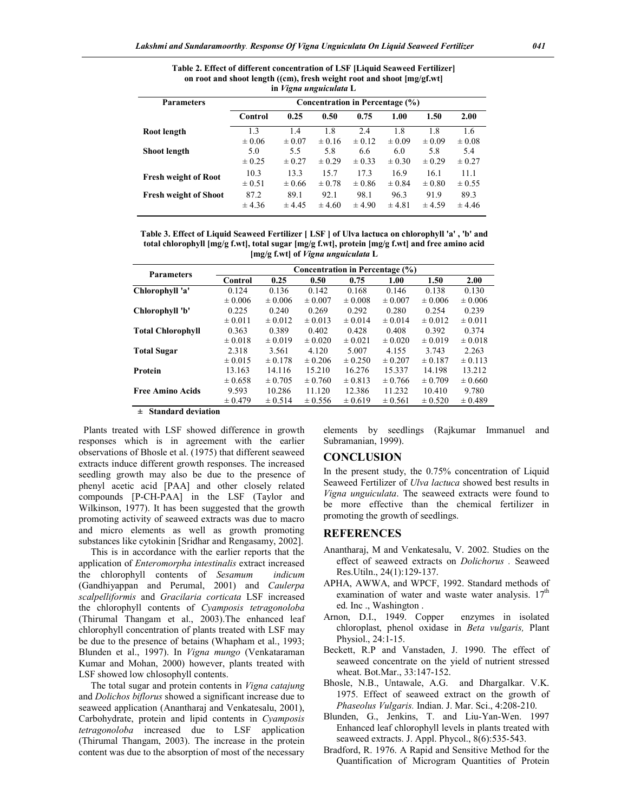| in <i>Vigna unguiculata</i> L |                                 |                                 |                    |                                 |                    |                                 |                                 |
|-------------------------------|---------------------------------|---------------------------------|--------------------|---------------------------------|--------------------|---------------------------------|---------------------------------|
| <b>Parameters</b>             | Concentration in Percentage (%) |                                 |                    |                                 |                    |                                 |                                 |
|                               | Control                         | 0.25                            | 0.50               | 0.75                            | 1.00               | 1.50                            | 2.00                            |
| Root length                   | 1.3<br>$\pm 0.06$               | 1.4                             | 1.8<br>$\pm 0.16$  | 2.4                             | 1.8<br>$\pm 0.09$  | 1.8                             | 1.6                             |
| <b>Shoot length</b>           | 5.0<br>$\pm 0.25$               | $\pm 0.07$<br>5.5<br>$\pm 0.27$ | 5.8<br>$\pm 0.29$  | $\pm 0.12$<br>6.6<br>$\pm 0.33$ | 6.0<br>$\pm 0.30$  | $\pm 0.09$<br>5.8<br>$\pm 0.29$ | $\pm 0.08$<br>5.4<br>$\pm 0.27$ |
| <b>Fresh weight of Root</b>   | 10.3<br>$\pm 0.51$              | 13.3<br>$\pm 0.66$              | 15.7<br>$\pm 0.78$ | 17.3<br>$\pm 0.86$              | 16.9<br>$\pm 0.84$ | 16.1<br>$\pm 0.80$              | 11.1<br>$\pm 0.55$              |
| <b>Fresh weight of Shoot</b>  | 87.2<br>± 4.36                  | 89.1<br>± 4.45                  | 92.1<br>± 4.60     | 98.1<br>± 4.90                  | 96.3<br>$\pm 4.81$ | 91.9<br>± 4.59                  | 89.3<br>± 4.46                  |

**Table 2. Effect of different concentration of LSF [Liquid Seaweed Fertilizer] on root and shoot length ((cm), fresh weight root and shoot [mg/gf.wt] in** *Vigna unguiculata* **L**

**Table 3. Effect of Liquid Seaweed Fertilizer [ LSF ] of Ulva lactuca on chlorophyll 'a' , 'b' and total chlorophyll [mg/g f.wt], total sugar [mg/g f.wt], protein [mg/g f.wt] and free amino acid [mg/g f.wt] of** *Vigna unguiculata* **L**

| <b>Parameters</b>        | Concentration in Percentage (%) |             |             |             |             |             |             |
|--------------------------|---------------------------------|-------------|-------------|-------------|-------------|-------------|-------------|
|                          | Control                         | 0.25        | 0.50        | 0.75        | 1.00        | 1.50        | 2.00        |
| Chlorophyll 'a'          | 0.124                           | 0.136       | 0.142       | 0.168       | 0.146       | 0.138       | 0.130       |
|                          | $\pm 0.006$                     | $\pm 0.006$ | $\pm 0.007$ | $\pm 0.008$ | $\pm 0.007$ | $\pm 0.006$ | $\pm 0.006$ |
| Chlorophyll 'b'          | 0.225                           | 0.240       | 0.269       | 0.292       | 0.280       | 0.254       | 0.239       |
|                          | $\pm 0.011$                     | $\pm 0.012$ | $\pm 0.013$ | $\pm 0.014$ | $\pm 0.014$ | $\pm 0.012$ | $\pm 0.011$ |
| <b>Total Chlorophyll</b> | 0.363                           | 0.389       | 0.402       | 0.428       | 0.408       | 0.392       | 0.374       |
|                          | $\pm 0.018$                     | $\pm 0.019$ | $\pm 0.020$ | $\pm 0.021$ | $\pm 0.020$ | $\pm 0.019$ | $\pm 0.018$ |
| <b>Total Sugar</b>       | 2.318                           | 3.561       | 4.120       | 5.007       | 4.155       | 3.743       | 2.263       |
|                          | $\pm 0.015$                     | $\pm 0.178$ | $\pm 0.206$ | $\pm 0.250$ | $\pm 0.207$ | $\pm 0.187$ | $\pm 0.113$ |
| Protein                  | 13.163                          | 14.116      | 15.210      | 16.276      | 15.337      | 14.198      | 13.212      |
|                          | $\pm 0.658$                     | $\pm 0.705$ | $\pm 0.760$ | $\pm 0.813$ | $\pm 0.766$ | $\pm 0.709$ | $\pm 0.660$ |
| <b>Free Amino Acids</b>  | 9.593                           | 10.286      | 11.120      | 12.386      | 11.232      | 10.410      | 9.780       |
|                          | $\pm 0.479$                     | $\pm 0.514$ | $\pm 0.556$ | $\pm 0.619$ | $\pm 0.561$ | $\pm 0.520$ | $\pm 0.489$ |

**± Standard deviation**

 Plants treated with LSF showed difference in growth responses which is in agreement with the earlier observations of Bhosle et al. (1975) that different seaweed extracts induce different growth responses. The increased seedling growth may also be due to the presence of phenyl acetic acid [PAA] and other closely related compounds [P-CH-PAA] in the LSF (Taylor and Wilkinson, 1977). It has been suggested that the growth promoting activity of seaweed extracts was due to macro and micro elements as well as growth promoting substances like cytokinin [Sridhar and Rengasamy, 2002].

 This is in accordance with the earlier reports that the application of *Enteromorpha intestinalis* extract increased the chlorophyll contents of *Sesamum indicum* (Gandhiyappan and Perumal, 2001) and *Caulerpa scalpelliformis* and *Gracilaria corticata* LSF increased the chlorophyll contents of *Cyamposis tetragonoloba* (Thirumal Thangam et al., 2003).The enhanced leaf chlorophyll concentration of plants treated with LSF may be due to the presence of betains (Whapham et al., 1993; Blunden et al., 1997). In *Vigna mungo* (Venkataraman Kumar and Mohan, 2000) however, plants treated with LSF showed low chlosophyll contents.

 The total sugar and protein contents in *Vigna catajung* and *Dolichos biflorus* showed a significant increase due to seaweed application (Anantharaj and Venkatesalu, 2001), Carbohydrate, protein and lipid contents in *Cyamposis tetragonoloba* increased due to LSF application (Thirumal Thangam, 2003). The increase in the protein content was due to the absorption of most of the necessary

elements by seedlings (Rajkumar Immanuel and Subramanian, 1999).

## **CONCLUSION**

In the present study, the 0.75% concentration of Liquid Seaweed Fertilizer of *Ulva lactuca* showed best results in *Vigna unguiculata*. The seaweed extracts were found to be more effective than the chemical fertilizer in promoting the growth of seedlings.

#### **REFERENCES**

- Anantharaj, M and Venkatesalu, V. 2002. Studies on the effect of seaweed extracts on *Dolichorus .* Seaweed Res.Utiln., 24(1):129-137.
- APHA, AWWA, and WPCF, 1992. Standard methods of examination of water and waste water analysis.  $17<sup>th</sup>$ ed. Inc ., Washington .
- Arnon, D.I., 1949. Copper enzymes in isolated chloroplast, phenol oxidase in *Beta vulgaris,* Plant Physiol., 24:1-15.
- Beckett, R.P and Vanstaden, J. 1990. The effect of seaweed concentrate on the yield of nutrient stressed wheat. Bot.Mar., 33:147-152.
- Bhosle, N.B., Untawale, A.G. and Dhargalkar. V.K. 1975. Effect of seaweed extract on the growth of *Phaseolus Vulgaris.* Indian. J. Mar. Sci., 4:208-210.
- Blunden, G., Jenkins, T. and Liu-Yan-Wen. 1997 Enhanced leaf chlorophyll levels in plants treated with seaweed extracts. J. Appl. Phycol., 8(6):535-543.
- Bradford, R. 1976. A Rapid and Sensitive Method for the Quantification of Microgram Quantities of Protein